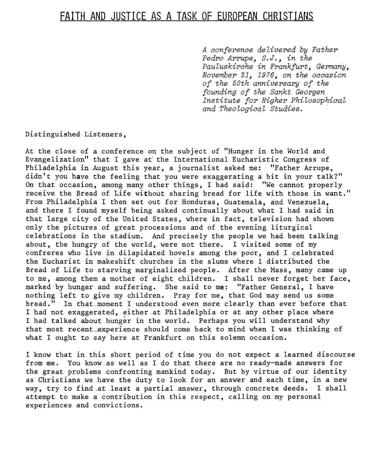## **FAITH AND JUSTICE AS A TASK OF EUROPEAN CHRISTIANS**

*A conference delivered by Father Pedro Arrupe, S.J., in the Pauluskirche in Frankfurt, Germany, November 21, 19?6, on the occasion of the 50th anniversary of the founding of the Sankt Georgen Institute for Higher Philosophical and Theological Studies.* ·

Distinguishe& Listeners,

At the close of a.conference on the subject of "Hunger in the World and Evangelization" that I gave at· the International Eucharistic Congress of Philadelphia in August this year, a journalist asked me: "Father Arrupe, didn't you have the feeling that you were exaggerating a bit in your talk?" On that occasion, among many other things, I had said: "We cannot properly receive the Bread of Life without sharing bread for life with those in want." From Philadelphia I then set out for Honduras, Guatemala, and Venezuela, and there I found myself being asked continually about what I had said in that large city of the United States, where in fact, television had shown only the pictures.of great processions and of the evening liturgical celebrations in the stadium. And precisely the people we had been talking about, the hungry of the world, were not there. I visited some of my confreres who live in dilapidated hovels among.the poor, and I celebrated the Eucharist in makeshift churches in the slums where I distributed the Bread of Life .to starving marginalized people. After the Mass, many came up to me, among them a mother of eight children. I shall never forget her face, marked-by hunger.and suffering. She said to me: "Father General, I have nothing left to give my children. Pray for me, that God may send us some bread." In that moment I understood even more clearly than ever before that I had not exaggerated, either.at Philadelphia or at any other place where I had talked about hunger in the world. Perhaps you will understand why that most recent experience should come back to mind when I was thinking of what I ought to say here at Frankfurt on this solemn occasion.

I know that in this short period of time you do not expect a learned discourse from me. You know as well as I do that there are no ready-made answers for the great problems confronting mankind today. But by virtue of our identity as Christians we have the duty to look for an answer and each time, in a new way, try to find .at.least a partial answer, through concrete deeds. I shall attempt to make a :contribution in this respect, calling on my personal experiences and convictions.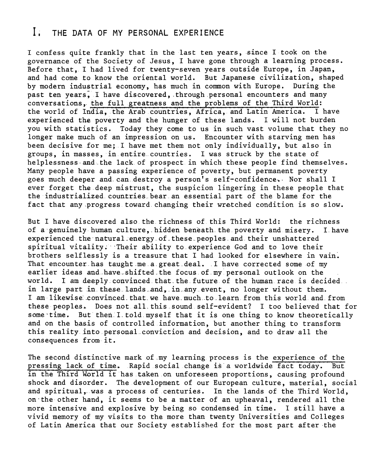## I; THE DATA OF MY PERSONAL EXPERIENCE

I confess quite frankly that in the last ten years, since I took on the governance of the Society of Jesus, I have gone through a learning process. Before that. I had lived for twenty-seven years outside Europe, in Japan, and had come to know the oriental world. But Japanese civilization, shaped by modern industrial economy, has much in common with Europe. During the past ten years, I have discovered, through personal encounters and many conversations, the full greatness and the problems of the Third World: the world of India, the Arab countries, Africa, and Latin America. I have experienced the poverty and the hunger of these lands. I will not burden you with statistics. Today they come to us in such vast volume that they no longer make much of an impression on us. Encounter with starving men has been decisive for me; I have met them not only individually, but also in groups, in masses, in entire countries. I was struck by the state of helplessness-and.the lack.of prospect in which these people find themselves. Many people have a passing experience of poverty, but permanent poverty goes much deeper and can destroy a person's self-confidence. Nor shall I ever forget the deep mistrust, the suspicion lingering in these people that the industrialized countries bear an essential part of the blame for the fact that any.progress toward.changing their wretched condition is so slow.

But I have discovered also.the.richness of this Third World: the richness of a genuinely human culture, hidden beneath the poverty and misery. I have experienced the natural energy of these peoples and their unshattered spiritual vitality. Their ability to experience God and to love their brothers selflessly is a treasure that I had looked for elsewhere in vain. That encounter has taught me a great deal. I have corrected some of my earlier ideas and have shifted the focus of my personal outlook on the world. I am deeply convinced that the future of the human race is decided. in large part in these lands and, in any event, no longer without them. I am likewise convinced that we have much to learn from this world and from these peoples.. Does not. all. this. sound self-evident? I too believed that for some time. But then. I told myself that it is one thing to know theoretically and on the basis of controlled information, but another thing to transform this reality.into personaLconviction and decision, and to drawall the consequences from-it.

The second distinctive mark .of .my learning process is the experience of the pressing lack of time. Rapid social change is a worldwide fact today. But in the Third World it has taken on unforeseen proportions, causing profound shock and disorder. The development of our European culture, material, social and spiritual, was a process of centuries. In the lands of the Third World, on·the other hand, it seems to be a matter of an upheaval, rendered all the more intensive and explosive by being so condensed in time. I still have a vivid memory of my visits to the more than twenty Universities and Colleges of Latin America that our Society established for the most part after ·the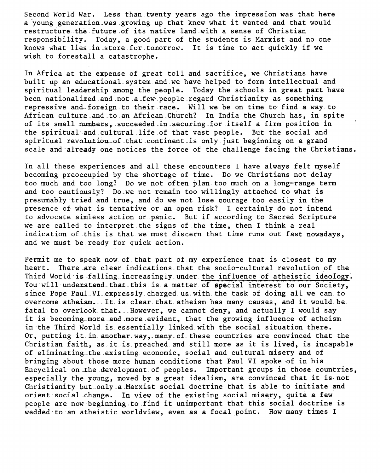Second World War. Less than twenty years ago the impression was that here a young generation was growing up that knew what it wanted and that would restructure the future of its native land with a sense of Christian responsibility. Today, a good part of the students is Marxist and no one knows what lies .in.store for.tomorrow. It is time to act quickly if we wish to forestall a catastrophe.

In Africa at the expense of great toll.and sacrifice, we Christians have built up an educational system and. we have helped to form intellectual and spiritual leadership among the people. Today the schools in great part have been nationalized and not a few people regard Christianity as something repressive and.. foreign. to their race. Will we be on time to find a way. to African culture and to an African Church? In India the Church has, in spite of its small numbers, succeeded in securing for itself a firm position in the spiritual and cultural life of that vast people. But the social and spiritual revolution of that continent is only just beginning on a grand scale and already one notices the force of the challenge facing the Christians.

In all these experiences.and all these encounters I have always felt myself becoming preoccupied by the shortage of time. Do we Christians not delay too much and too long? Do we not often plan too much on a long-range term and too cautiously? Do we not remain too willingly attached to what is presumably tried and true, and do we not lose courage too easily in the presence of what.is tentative or an open risk? I certainly do not intend to advocate aimless action or.panic. But if according to Sacred Scripture we are called to.interpret.the signs .of the time, then I think a real indication of this is that we must discern that time runs out fast nowadays, and we must be ready for quick action.

Permit me to speak now of.that part of my experience that is closest to my heart. There are.clear indications.that the socio-cultural revolution of the Third World is falling increasingly under the influence of atheistic ideology. You will understand that this is a matter of special interest to our Society, since Pope Paul VI expressly charged us with the task of doing all we can to overcome atheism. It is clear that atheism has many causes, and it would be fatal to overlook. that. . However, we cannot deny, and actually I would say it is becoming more and more evident, that the growing influence of atheism in the Third World is essentially linked with the social situation there. Or, putting it.in.another.way,.many.of.these countries are convinced that the Christian faith, as it is preached and still more as it is lived, is incapable of eliminating the existing economic, social and cultural misery and of bringing about.those.more human conditions that Paul VI spoke of in his Encyclical on the development of peoples. Important groups in those countries, especially the young, moved by a great idealism, are convinced that it is-not Christianity but only a Marxist social doctrine that is able to initiate and orient social change. In view of the existing social misery, quite a few people are now beginning.to.find it unimportant that this social doctrine is wedded·to·an atheistic worldview, even as a focal point. How many times I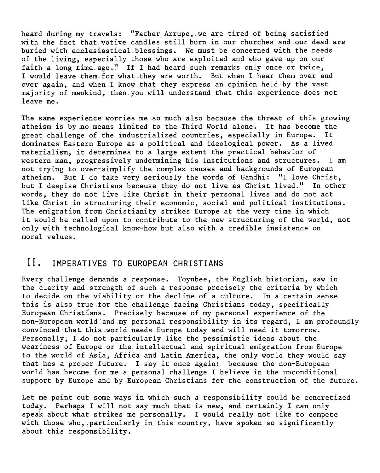heard during my travels: "Father Arrupe, we are tired.of being satisfied with the fact that.votive.candles.still burn.in our churches and our dead are buried with ecclesiastical blessings. We must be concerned with the needs of the living,. especially.those who are exploited and who gave up on our faith a long time  $ago.$ " If I had heard such remarks only once or twice, I would leave them for what they are worth. But when I hear them over and over again, and when I know that they express an opinion held by the vast majority of mankind, then.you.will understand that this experience does not leave me.

The same experience.worries me so much also because.the threat of this growing atheism is by no means limited to the Third World alone. It has become the<br>great challenge of the industrialized countries, especially in Europe. It great challenge of the industrialized countries, especially in Europe. dominates Eastern Europe as a political and ideological power. As a lived materialism, it determines to a large extent the practical behavior of western man, progressively undermining his institutions and structures. I am not trying to over-simplify the complex causes and backgrounds of European atheism. But I do take very seriously the words of Gandhi: "I love Christ, but I despise Christians because they do not live as Christ lived." In other words, they do not live like Christ in their personal lives and do not act like Christ in structuring their economic, social and political institutions. The emigration from Christianity strikes Europe at the very time in which it would be called upon to contribute to the new structuring of the world, not only with technological know-how but also with a credible insistence on moral values.

## II. IMPERATIVES TO EUROPEAN CHRISTIANS

Every challenge demands a response. Toynbee, the English historian, saw in the clarity and strength of such a response precisely the criteria by which to decide on the viability or the decline of a culture. In a certain sense this is also true for the challenge facing Christians today, specifically European Christians. Precisely because of my personal experience of the non-European world and my personal responsibility in its regard, I am profoundly convinced-that. this.worldneeds Europe today and will need it tomorrow. Personally, I do not particularly like the pessimistic ideas about the weariness of Europe or the intellectual and spiritual emigration from Europe to the world of Asia, Africa and Latin America, the only world they would say that has a proper future. I say it once again: because the non-European world has become for me a personal challenge I believe in the unconditional support by Europe and by European Christians for the construction of the future.

Let me point out some ways in which such a responsibility could be concretized today; Perhaps I will not say much that is new, and certainly I can only speak about what strikes me personally. I would really not like to compete with those who, particularly in this country, have spoken so significantly about this responsibility.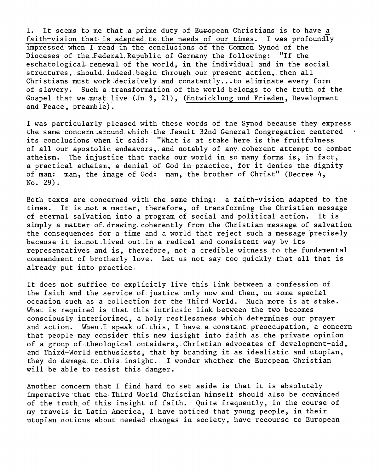1. It seems to me that a prime duty of European Christians is to have a faith-vision that is adapted to. the needs of our times. I was profoundly impressed when I read in the. conclusions of the Common Synod of the Dioceses of the Federal Republic of Germany the following: eschatological renewal of the world, in the individual and in the social structures, should.indeed.begin through our present action, then all Christians must.work.decisively.and constantly .•. to eliminate every form of slavery. Such a.transformation of the world belongs to the truth .of the Gospel that we must live (Jn.3, 21), (Entwicklung und Frieden, Development and Peace, preamble).

I was particularly pleased with these words of the Synod because they express the same concern.around which the Jesuit 32nd General Congregation centered its conclusions when it said: "What is at stake here is the fruitfulness of all our apostolic endeavors,.and notably of any.coherent attempt to combat atheism. The injustice that racks our world in so many forms is, in fact, a practical atheism, a denial of God in practice, for it denies the dignity of man: man, the image of God: man, the brother of Christ" (Decree 4, No. 29).

Both texts are concerned with the same thing: a faith-vision adapted to the times. It is not a matter, therefore, of transforming the Christian message of eternal salvation into a program of social and political action. It is simply a matter of drawing.coherently from the Christian message of salvation the consequences .for.a. time and. a world. that reject such a message precisely because it is not lived out in a radical and consistent way by its representatives and is, therefore, not a credible witness to the fundamental connnandment of.brotherly love. Let us not say too quickly that all that is already put into practice.

It does not suffice to explicitly live this link between a confession of the faith and the service of justice only now and then, on some special occasion such as a collection for the Third World. Much more is at stake. What is required is that this intrinsic link between the two becomes consciously interiorized~ a holy restlessness which determines our prayer and action. When.I speak of. this, I have a constant.preoccupation, a concern that people may.consider.this new.insight into faith as the private opinion of a group of.theological.outsiders,.Christian advocates of development-aid, and Third-World enthusiasts, that by branding it as idealistic and utopian, they do damage to this insight. I wonder whether the European Christian will be able to resist this danger.

Another concern that I find hard to set aside is that it is absolutely imperative that the Third World Christian himself should also be convinced of the truth, of this insight of faith. Quite frequently, in the course of my travels in Latin America, I have noticed that young people, in their utopian notions about needed changes in society, have recourse to European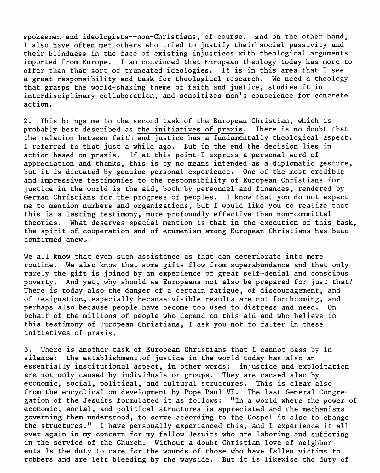spokesmen and ideologists--non-Christians, of course. and on the other hand; I also have often met others who tried to justify their' social passivity and· their blindness in the face of existing injustices with theological arguments imported from Europe. I am convinced that European theology today has more to offer than that sort of truncated ideologies. It is in this area that I see· a great responsibility and task for theological research. We need a theology that grasps the world-shaking theme of faith and justice, studies it in interdisciplinary collaboration, and sensitizes man's conscience for concrete action.

2. This brings me to the second task of the European Christian, which is probably best described as the initiatives of praxis. There is no doubt that probably best described as the initiatives of praxis. the relation between faith and justice has a fundamentally theological aspect. I referred to that just a while ago. But in the end the decision lies in action based on praxis. If at this point I express a personal word of appreciation and thanks, this is by no means intended as a diplomatic gesture, but it is dictated by genuine personal experience. One of the most credible and impressive testimonies to the responsibility of European Christians for justice in the world is the aid, both by personnel and finances, rendered by German Christians. for the progress of peoples. I know that you do not expect me to mention numbers and organizations, but I would like you to realize that this is a lasting testimony, more profoundly effective than non-committal theories. What deserves special mention is that in the execution of this task, the spirit of. cooperation and of ecumenism among European Christians has been confirmed anew.

We all know that even such assistance as that can deteriorate into mere routine. We *also* know that some gifts flow from superabundance and that only rarely the gift is joined by an experience of great self-denial and conscious poverty. And yet, why should we Europeans not also be prepared for just that? There is today. also the danger of a certain fatigue, of discouragement, and of resignation, especially because visible results are not forthcoming, and perhaps also because people have become too used to distress and need. On behalf of the millions of people who depend on this aid and who believe in this testimony of European.Christians, I ask you not to falter in these initiatives of praxis.

3. There is another task of European Christians that I cannot pass by in silence: the.establishment.of justice in the world today has also an essentially institutional aspect, in other words: injustice and exploitation are not only caused by individuals or groups. They are caused also by economic, social, political, and cultural structures. This is clear also from the encyclical on development by Pope Paul VI. The last General Congregation of the Jesuits formulated it as follows: "In a world where the power of economic, social, and political structures is appreciated and the mechanisms governing them understood, to serve according to the Gospel is also to change the structures." I have personally experienced this, and I experience it all over again in my concern for my fellow Jesuits who are laboring and suffering in the service of the Church. Without a doubt Christian love of neighbor entails the duty to care for the wounds of those who have fallen victims to robbers and are left bleeding by the wayside. But it is likewise the duty of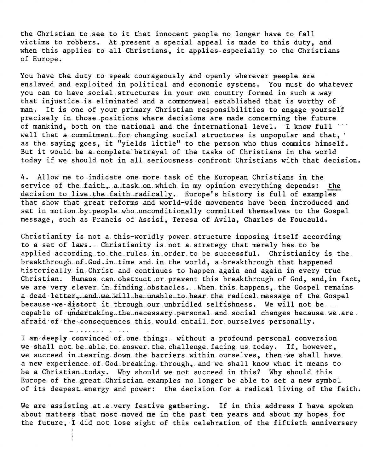the Christian to.see to it that innocent people no longer have to fall victims to robbers. At present a special appeal is made to this duty, and when this applies to all Christians, it applies-especially to the Christians of Europe.

You have the duty to speak courageously and openly wherever people are enslaved and exploited in political and economic systems. You must do whatever you can to have social structures in your own country formed in such a way that injustice is eliminated and a commonweal established that is worthy of man. It is one of your primary Christian responsibilities to engage yourself precisely in those positions where decisions are made concerning the future of mankind, both on the national and the international level. I know full well that a commitment for changing social structures is unpopular and that, as the saying goes, it "yields little" to the person who thus commits himself. But it would be a complete betrayal of the tasks of Christians in the world today if we should not in all. seriousness-confront Christians with that decision.

4. Allow me to indicate one.more. task of the European Christians in the service of the faith, a task on which in my opinion everything depends: the decision to live the faith radically. Europe's history is full of examples that show that great reforms .and world-wide movements have been introduced and set in motion by people who unconditionally committed themselves to the Gospel message, such as Francis of Assisi, Teresa of Avila, Charles de Foucauld.

Christianity is. not a. this-worldly power.structure imposing itself according to a set of laws. Christianity is not a strategy that merely has to be applied according to the rules in order to be successful. Christianity is the breakthrough of..God-in time and. in. the world, a-breakthrough that happened historically in Christ and continues to happen again and again in every true Christian. Humans: can. obstruct .. or prevent this breakthrough of God, and, in fact, we are very clever. in finding obstacles. When this happens, the Gospel remains a-dead-letter, and we will be unable to hear the radical message of the Gospel because-we-distort it through our unbridled selfishness. We will not be... capable of undertaking the necessary personal and social changes because we are. afraid·of·the~consequences.this.would entail.for.ourselves personally.

I am deeply convinced of one thing: without a profound personal conversion we shall not be able to answer the challenge facing us today. If, however, we succeed in tearing down the barriers within ourselves, then we shall have a new experience. of God breaking through, and we shall know what it means to be a Christian. today. Why should we not succeed in this? Why should this Europe of the great Christian examples no longer be able to set a new symbol of its deepest.energy and power: the decision for a radical living of the faith.

We are assisting at a very festive gathering. If in this address I have spoken about matters that most moved me in the past ten years and about my hopes for the future, I did not lose sight of this celebration of the fiftieth anniversary